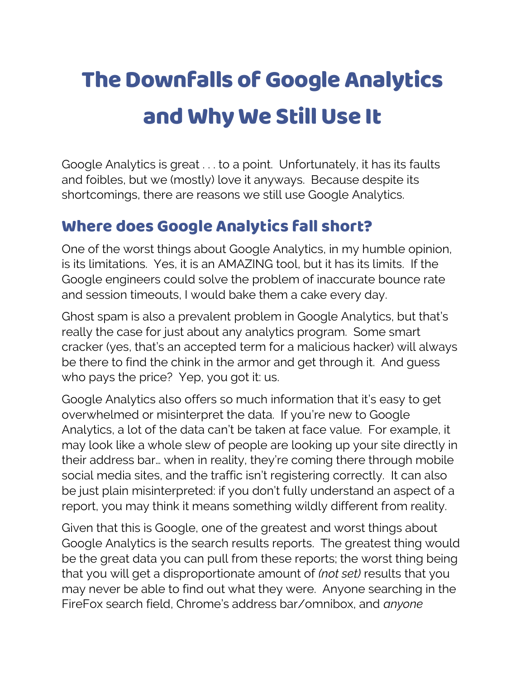## The Downfalls of Google Analytics and Why We Still Use It

Google Analytics is great . . . to a point. Unfortunately, it has its faults and foibles, but we (mostly) love it anyways. Because despite its shortcomings, there are reasons we still use Google Analytics.

## Where does Google Analytics fall short?

One of the worst things about Google Analytics, in my humble opinion, is its limitations. Yes, it is an AMAZING tool, but it has its limits. If the Google engineers could solve the problem of inaccurate bounce rate and session timeouts, I would bake them a cake every day.

Ghost spam is also a prevalent problem in Google Analytics, but that's really the case for just about any analytics program. Some smart cracker (yes, that's an accepted term for a malicious hacker) will always be there to find the chink in the armor and get through it. And guess who pays the price? Yep, you got it: us.

Google Analytics also offers so much information that it's easy to get overwhelmed or misinterpret the data. If you're new to Google Analytics, a lot of the data can't be taken at face value. For example, it may look like a whole slew of people are looking up your site directly in their address bar… when in reality, they're coming there through mobile social media sites, and the traffic isn't registering correctly. It can also be just plain misinterpreted: if you don't fully understand an aspect of a report, you may think it means something wildly different from reality.

Given that this is Google, one of the greatest and worst things about Google Analytics is the search results reports. The greatest thing would be the great data you can pull from these reports; the worst thing being that you will get a disproportionate amount of *(not set)* results that you may never be able to find out what they were. Anyone searching in the FireFox search field, Chrome's address bar/omnibox, and *anyone*